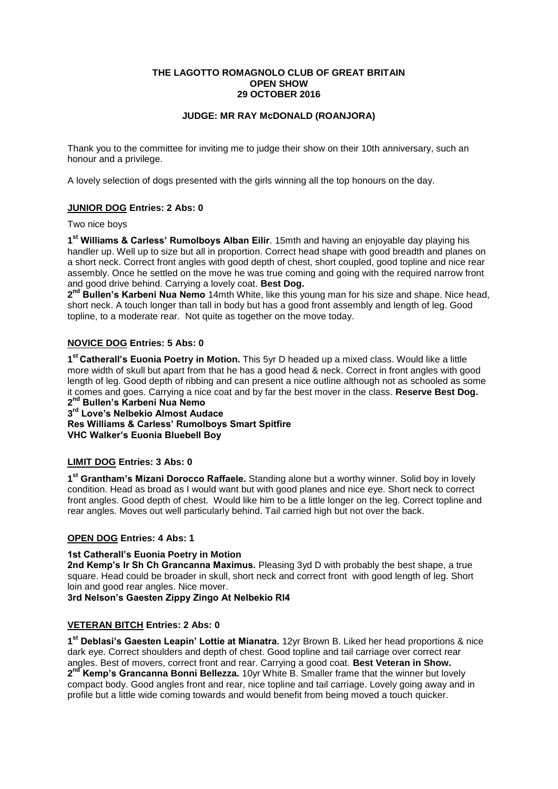### **THE LAGOTTO ROMAGNOLO CLUB OF GREAT BRITAIN OPEN SHOW 29 OCTOBER 2016**

## **JUDGE: MR RAY McDONALD (ROANJORA)**

Thank you to the committee for inviting me to judge their show on their 10th anniversary, such an honour and a privilege.

A lovely selection of dogs presented with the girls winning all the top honours on the day.

## **JUNIOR DOG Entries: 2 Abs: 0**

Two nice boys

**1 st Williams & Carless' Rumolboys Alban Eilir**. 15mth and having an enjoyable day playing his handler up. Well up to size but all in proportion. Correct head shape with good breadth and planes on a short neck. Correct front angles with good depth of chest, short coupled, good topline and nice rear assembly. Once he settled on the move he was true coming and going with the required narrow front and good drive behind. Carrying a lovely coat. **Best Dog.**

2<sup>nd</sup> Bullen's Karbeni Nua Nemo 14mth White, like this young man for his size and shape. Nice head, short neck. A touch longer than tall in body but has a good front assembly and length of leg. Good topline, to a moderate rear. Not quite as together on the move today.

### **NOVICE DOG Entries: 5 Abs: 0**

**1 st Catherall's Euonia Poetry in Motion.** This 5yr D headed up a mixed class. Would like a little more width of skull but apart from that he has a good head & neck. Correct in front angles with good length of leg. Good depth of ribbing and can present a nice outline although not as schooled as some it comes and goes. Carrying a nice coat and by far the best mover in the class. **Reserve Best Dog. 2 nd Bullen's Karbeni Nua Nemo**

# **3 rd Love's Nelbekio Almost Audace**

# **Res Williams & Carless' Rumolboys Smart Spitfire VHC Walker's Euonia Bluebell Boy**

### **LIMIT DOG Entries: 3 Abs: 0**

**1 st Grantham's Mizani Dorocco Raffaele.** Standing alone but a worthy winner. Solid boy in lovely condition. Head as broad as I would want but with good planes and nice eye. Short neck to correct front angles. Good depth of chest. Would like him to be a little longer on the leg. Correct topline and rear angles. Moves out well particularly behind. Tail carried high but not over the back.

## **OPEN DOG Entries: 4 Abs: 1**

#### **1st Catherall's Euonia Poetry in Motion**

**2nd Kemp's Ir Sh Ch Grancanna Maximus.** Pleasing 3yd D with probably the best shape, a true square. Head could be broader in skull, short neck and correct front with good length of leg. Short loin and good rear angles. Nice mover.

**3rd Nelson's Gaesten Zippy Zingo At Nelbekio Rl4**

#### **VETERAN BITCH Entries: 2 Abs: 0**

**1 st Deblasi's Gaesten Leapin' Lottie at Mianatra.** 12yr Brown B. Liked her head proportions & nice dark eye. Correct shoulders and depth of chest. Good topline and tail carriage over correct rear angles. Best of movers, correct front and rear. Carrying a good coat. **Best Veteran in Show.** 2<sup>nd</sup> Kemp's Grancanna Bonni Bellezza. 10yr White B. Smaller frame that the winner but lovely compact body. Good angles front and rear, nice topline and tail carriage. Lovely going away and in profile but a little wide coming towards and would benefit from being moved a touch quicker.